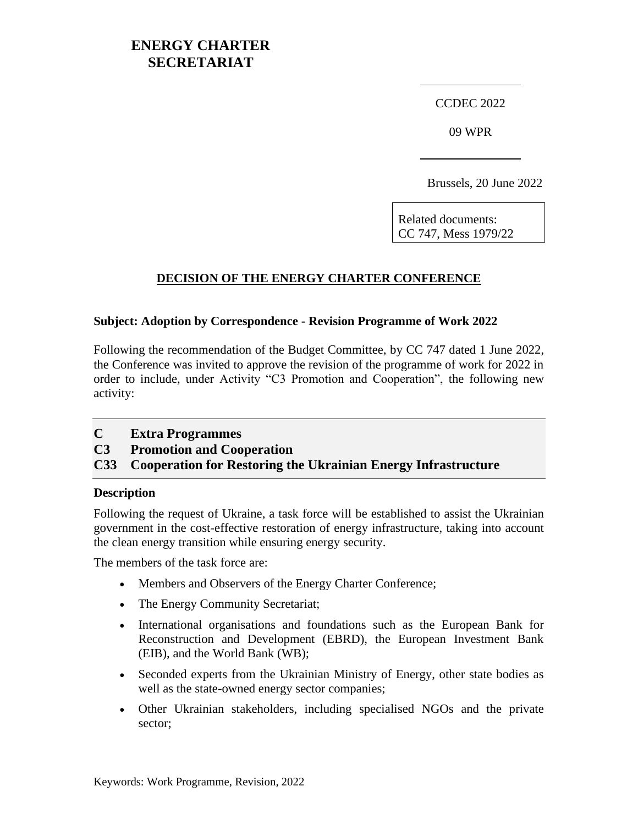# **ENERGY CHARTER SECRETARIAT**

CCDEC 2022

09 WPR

Brussels, 20 June 2022

Related documents: CC 747, Mess 1979/22

## **DECISION OF THE ENERGY CHARTER CONFERENCE**

#### **Subject: Adoption by Correspondence - Revision Programme of Work 2022**

Following the recommendation of the Budget Committee, by CC 747 dated 1 June 2022, the Conference was invited to approve the revision of the programme of work for 2022 in order to include, under Activity "C3 Promotion and Cooperation", the following new activity:

**C Extra Programmes**

**C3 Promotion and Cooperation**

**C33 Cooperation for Restoring the Ukrainian Energy Infrastructure**

#### **Description**

Following the request of Ukraine, a task force will be established to assist the Ukrainian government in the cost-effective restoration of energy infrastructure, taking into account the clean energy transition while ensuring energy security.

The members of the task force are:

- Members and Observers of the Energy Charter Conference;
- The Energy Community Secretariat;
- International organisations and foundations such as the European Bank for Reconstruction and Development (EBRD), the European Investment Bank (EIB), and the World Bank (WB);
- Seconded experts from the Ukrainian Ministry of Energy, other state bodies as well as the state-owned energy sector companies;
- Other Ukrainian stakeholders, including specialised NGOs and the private sector;